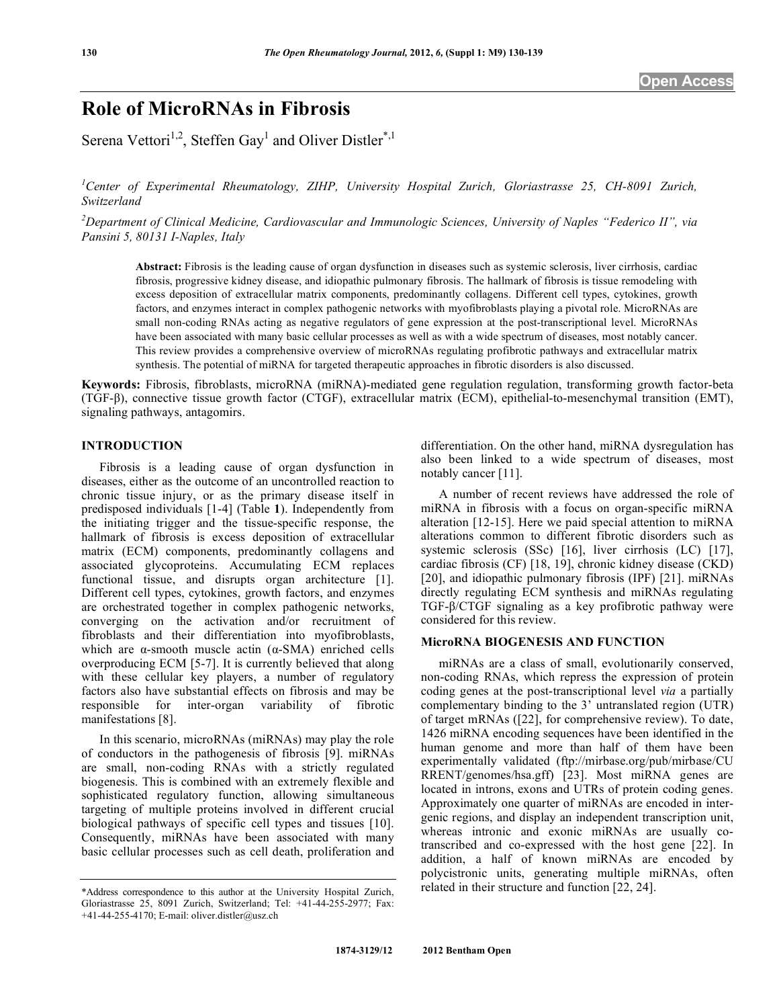# **Role of MicroRNAs in Fibrosis**

Serena Vettori<sup>1,2</sup>, Steffen Gay<sup>1</sup> and Oliver Distler<sup>\*,1</sup>

*1 Center of Experimental Rheumatology, ZIHP, University Hospital Zurich, Gloriastrasse 25, CH-8091 Zurich, Switzerland* 

*2 Department of Clinical Medicine, Cardiovascular and Immunologic Sciences, University of Naples "Federico II", via Pansini 5, 80131 I-Naples, Italy* 

**Abstract:** Fibrosis is the leading cause of organ dysfunction in diseases such as systemic sclerosis, liver cirrhosis, cardiac fibrosis, progressive kidney disease, and idiopathic pulmonary fibrosis. The hallmark of fibrosis is tissue remodeling with excess deposition of extracellular matrix components, predominantly collagens. Different cell types, cytokines, growth factors, and enzymes interact in complex pathogenic networks with myofibroblasts playing a pivotal role. MicroRNAs are small non-coding RNAs acting as negative regulators of gene expression at the post-transcriptional level. MicroRNAs have been associated with many basic cellular processes as well as with a wide spectrum of diseases, most notably cancer. This review provides a comprehensive overview of microRNAs regulating profibrotic pathways and extracellular matrix synthesis. The potential of miRNA for targeted therapeutic approaches in fibrotic disorders is also discussed.

**Keywords:** Fibrosis, fibroblasts, microRNA (miRNA)-mediated gene regulation regulation, transforming growth factor-beta (TGF-β), connective tissue growth factor (CTGF), extracellular matrix (ECM), epithelial-to-mesenchymal transition (EMT), signaling pathways, antagomirs.

# **INTRODUCTION**

 Fibrosis is a leading cause of organ dysfunction in diseases, either as the outcome of an uncontrolled reaction to chronic tissue injury, or as the primary disease itself in predisposed individuals [1-4] (Table **1**). Independently from the initiating trigger and the tissue-specific response, the hallmark of fibrosis is excess deposition of extracellular matrix (ECM) components, predominantly collagens and associated glycoproteins. Accumulating ECM replaces functional tissue, and disrupts organ architecture [1]. Different cell types, cytokines, growth factors, and enzymes are orchestrated together in complex pathogenic networks, converging on the activation and/or recruitment of fibroblasts and their differentiation into myofibroblasts, which are  $\alpha$ -smooth muscle actin ( $\alpha$ -SMA) enriched cells overproducing ECM [5-7]. It is currently believed that along with these cellular key players, a number of regulatory factors also have substantial effects on fibrosis and may be responsible for inter-organ variability of fibrotic manifestations [8].

 In this scenario, microRNAs (miRNAs) may play the role of conductors in the pathogenesis of fibrosis [9]. miRNAs are small, non-coding RNAs with a strictly regulated biogenesis. This is combined with an extremely flexible and sophisticated regulatory function, allowing simultaneous targeting of multiple proteins involved in different crucial biological pathways of specific cell types and tissues [10]. Consequently, miRNAs have been associated with many basic cellular processes such as cell death, proliferation and

differentiation. On the other hand, miRNA dysregulation has also been linked to a wide spectrum of diseases, most notably cancer [11].

 A number of recent reviews have addressed the role of miRNA in fibrosis with a focus on organ-specific miRNA alteration [12-15]. Here we paid special attention to miRNA alterations common to different fibrotic disorders such as systemic sclerosis (SSc) [16], liver cirrhosis (LC) [17], cardiac fibrosis (CF) [18, 19], chronic kidney disease (CKD) [20], and idiopathic pulmonary fibrosis (IPF) [21]. miRNAs directly regulating ECM synthesis and miRNAs regulating TGF- $\beta$ /CTGF signaling as a key profibrotic pathway were considered for this review.

#### **MicroRNA BIOGENESIS AND FUNCTION**

 miRNAs are a class of small, evolutionarily conserved, non-coding RNAs, which repress the expression of protein coding genes at the post-transcriptional level *via* a partially complementary binding to the 3' untranslated region (UTR) of target mRNAs ([22], for comprehensive review). To date, 1426 miRNA encoding sequences have been identified in the human genome and more than half of them have been experimentally validated (ftp://mirbase.org/pub/mirbase/CU RRENT/genomes/hsa.gff) [23]. Most miRNA genes are located in introns, exons and UTRs of protein coding genes. Approximately one quarter of miRNAs are encoded in intergenic regions, and display an independent transcription unit, whereas intronic and exonic miRNAs are usually cotranscribed and co-expressed with the host gene [22]. In addition, a half of known miRNAs are encoded by polycistronic units, generating multiple miRNAs, often related in their structure and function [22, 24].

<sup>\*</sup>Address correspondence to this author at the University Hospital Zurich, Gloriastrasse 25, 8091 Zurich, Switzerland; Tel: +41-44-255-2977; Fax: +41-44-255-4170; E-mail: oliver.distler@usz.ch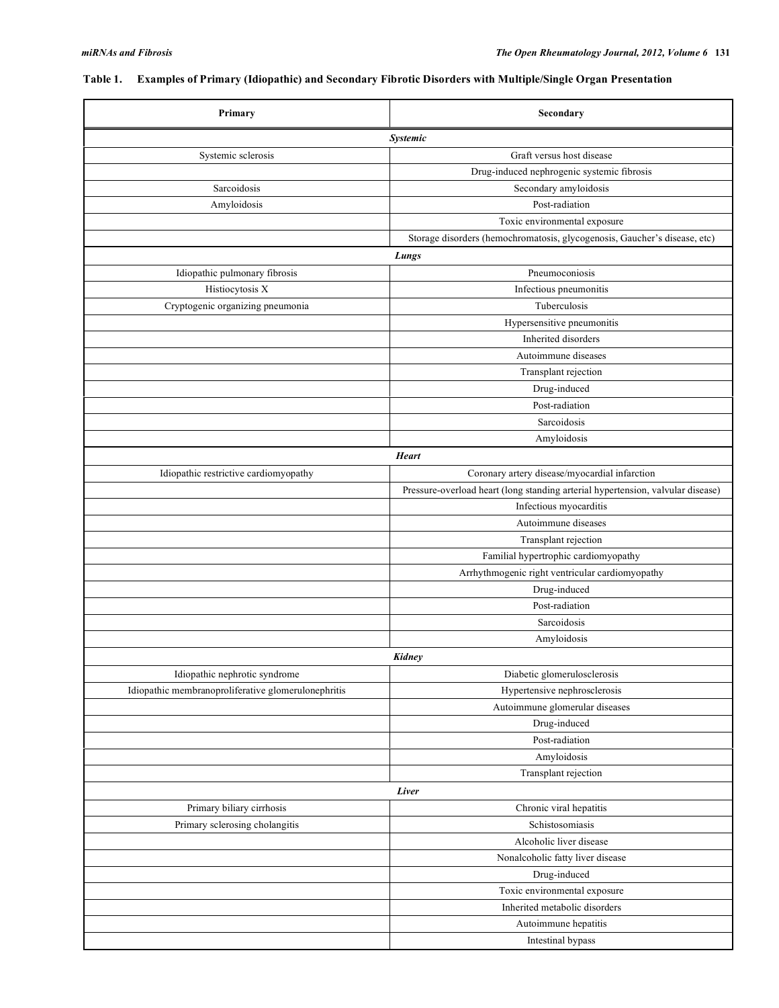# **Table 1. Examples of Primary (Idiopathic) and Secondary Fibrotic Disorders with Multiple/Single Organ Presentation**

| Primary                                             | Secondary                                                                       |  |  |  |  |  |
|-----------------------------------------------------|---------------------------------------------------------------------------------|--|--|--|--|--|
| <b>Systemic</b>                                     |                                                                                 |  |  |  |  |  |
| Systemic sclerosis                                  | Graft versus host disease                                                       |  |  |  |  |  |
|                                                     | Drug-induced nephrogenic systemic fibrosis                                      |  |  |  |  |  |
| Sarcoidosis                                         | Secondary amyloidosis                                                           |  |  |  |  |  |
| Amyloidosis                                         | Post-radiation                                                                  |  |  |  |  |  |
|                                                     | Toxic environmental exposure                                                    |  |  |  |  |  |
|                                                     | Storage disorders (hemochromatosis, glycogenosis, Gaucher's disease, etc)       |  |  |  |  |  |
|                                                     | Lungs                                                                           |  |  |  |  |  |
| Idiopathic pulmonary fibrosis                       | Pneumoconiosis                                                                  |  |  |  |  |  |
| Histiocytosis X                                     | Infectious pneumonitis                                                          |  |  |  |  |  |
| Cryptogenic organizing pneumonia                    | Tuberculosis                                                                    |  |  |  |  |  |
|                                                     | Hypersensitive pneumonitis                                                      |  |  |  |  |  |
|                                                     | Inherited disorders                                                             |  |  |  |  |  |
|                                                     | Autoimmune diseases                                                             |  |  |  |  |  |
|                                                     | Transplant rejection                                                            |  |  |  |  |  |
|                                                     | Drug-induced                                                                    |  |  |  |  |  |
|                                                     | Post-radiation                                                                  |  |  |  |  |  |
|                                                     | Sarcoidosis                                                                     |  |  |  |  |  |
|                                                     | Amyloidosis                                                                     |  |  |  |  |  |
|                                                     | <b>Heart</b>                                                                    |  |  |  |  |  |
| Idiopathic restrictive cardiomyopathy               | Coronary artery disease/myocardial infarction                                   |  |  |  |  |  |
|                                                     | Pressure-overload heart (long standing arterial hypertension, valvular disease) |  |  |  |  |  |
|                                                     | Infectious myocarditis                                                          |  |  |  |  |  |
|                                                     | Autoimmune diseases                                                             |  |  |  |  |  |
|                                                     | Transplant rejection                                                            |  |  |  |  |  |
|                                                     | Familial hypertrophic cardiomyopathy                                            |  |  |  |  |  |
|                                                     | Arrhythmogenic right ventricular cardiomyopathy                                 |  |  |  |  |  |
|                                                     | Drug-induced                                                                    |  |  |  |  |  |
|                                                     | Post-radiation                                                                  |  |  |  |  |  |
|                                                     | Sarcoidosis                                                                     |  |  |  |  |  |
|                                                     | Amyloidosis                                                                     |  |  |  |  |  |
|                                                     | Kidney                                                                          |  |  |  |  |  |
| Idiopathic nephrotic syndrome                       | Diabetic glomerulosclerosis                                                     |  |  |  |  |  |
| Idiopathic membranoproliferative glomerulonephritis | Hypertensive nephrosclerosis                                                    |  |  |  |  |  |
|                                                     | Autoimmune glomerular diseases                                                  |  |  |  |  |  |
|                                                     | Drug-induced                                                                    |  |  |  |  |  |
|                                                     | Post-radiation                                                                  |  |  |  |  |  |
|                                                     | Amyloidosis                                                                     |  |  |  |  |  |
|                                                     | Transplant rejection                                                            |  |  |  |  |  |
|                                                     | Liver                                                                           |  |  |  |  |  |
| Primary biliary cirrhosis                           | Chronic viral hepatitis                                                         |  |  |  |  |  |
| Primary sclerosing cholangitis                      | Schistosomiasis                                                                 |  |  |  |  |  |
|                                                     | Alcoholic liver disease                                                         |  |  |  |  |  |
|                                                     | Nonalcoholic fatty liver disease                                                |  |  |  |  |  |
|                                                     | Drug-induced                                                                    |  |  |  |  |  |
|                                                     | Toxic environmental exposure                                                    |  |  |  |  |  |
|                                                     | Inherited metabolic disorders                                                   |  |  |  |  |  |
|                                                     | Autoimmune hepatitis                                                            |  |  |  |  |  |
|                                                     | Intestinal bypass                                                               |  |  |  |  |  |
|                                                     |                                                                                 |  |  |  |  |  |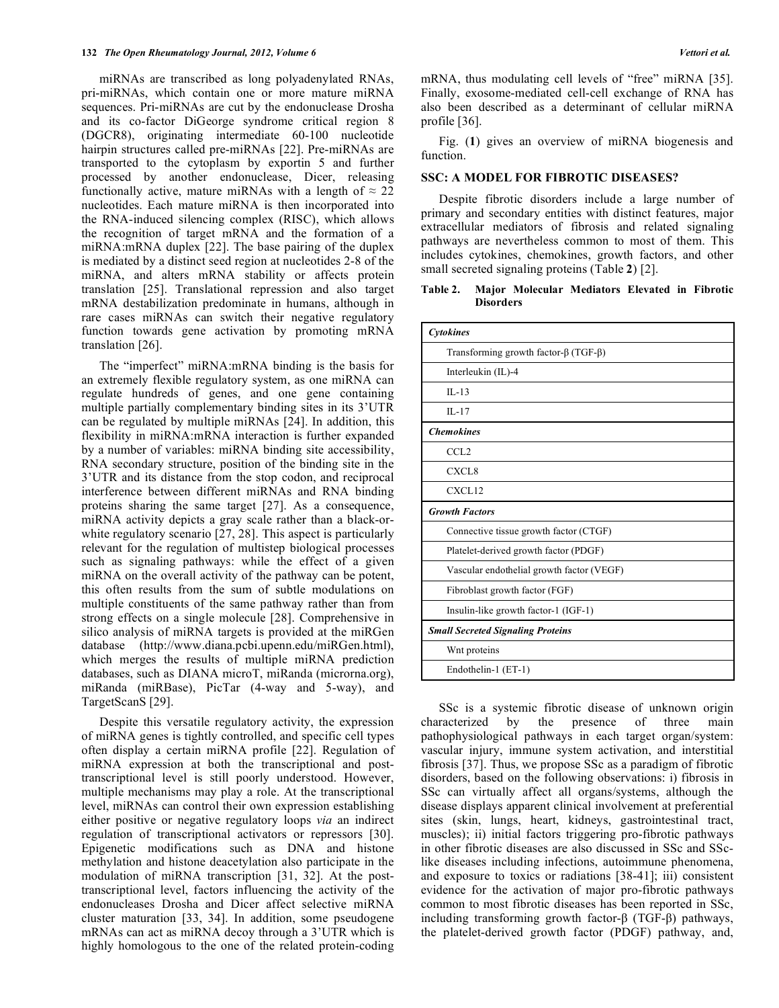miRNAs are transcribed as long polyadenylated RNAs, pri-miRNAs, which contain one or more mature miRNA sequences. Pri-miRNAs are cut by the endonuclease Drosha and its co-factor DiGeorge syndrome critical region 8 (DGCR8), originating intermediate 60-100 nucleotide hairpin structures called pre-miRNAs [22]. Pre-miRNAs are transported to the cytoplasm by exportin 5 and further processed by another endonuclease, Dicer, releasing functionally active, mature miRNAs with a length of  $\approx 22$ nucleotides. Each mature miRNA is then incorporated into the RNA-induced silencing complex (RISC), which allows the recognition of target mRNA and the formation of a miRNA:mRNA duplex [22]. The base pairing of the duplex is mediated by a distinct seed region at nucleotides 2-8 of the miRNA, and alters mRNA stability or affects protein translation [25]. Translational repression and also target mRNA destabilization predominate in humans, although in rare cases miRNAs can switch their negative regulatory function towards gene activation by promoting mRNA translation [26].

 The "imperfect" miRNA:mRNA binding is the basis for an extremely flexible regulatory system, as one miRNA can regulate hundreds of genes, and one gene containing multiple partially complementary binding sites in its 3'UTR can be regulated by multiple miRNAs [24]. In addition, this flexibility in miRNA:mRNA interaction is further expanded by a number of variables: miRNA binding site accessibility, RNA secondary structure, position of the binding site in the 3'UTR and its distance from the stop codon, and reciprocal interference between different miRNAs and RNA binding proteins sharing the same target [27]. As a consequence, miRNA activity depicts a gray scale rather than a black-orwhite regulatory scenario [27, 28]. This aspect is particularly relevant for the regulation of multistep biological processes such as signaling pathways: while the effect of a given miRNA on the overall activity of the pathway can be potent, this often results from the sum of subtle modulations on multiple constituents of the same pathway rather than from strong effects on a single molecule [28]. Comprehensive in silico analysis of miRNA targets is provided at the miRGen database (http://www.diana.pcbi.upenn.edu/miRGen.html), which merges the results of multiple miRNA prediction databases, such as DIANA microT, miRanda (microrna.org), miRanda (miRBase), PicTar (4-way and 5-way), and TargetScanS [29].

 Despite this versatile regulatory activity, the expression of miRNA genes is tightly controlled, and specific cell types often display a certain miRNA profile [22]. Regulation of miRNA expression at both the transcriptional and posttranscriptional level is still poorly understood. However, multiple mechanisms may play a role. At the transcriptional level, miRNAs can control their own expression establishing either positive or negative regulatory loops *via* an indirect regulation of transcriptional activators or repressors [30]. Epigenetic modifications such as DNA and histone methylation and histone deacetylation also participate in the modulation of miRNA transcription [31, 32]. At the posttranscriptional level, factors influencing the activity of the endonucleases Drosha and Dicer affect selective miRNA cluster maturation [33, 34]. In addition, some pseudogene mRNAs can act as miRNA decoy through a 3'UTR which is highly homologous to the one of the related protein-coding

mRNA, thus modulating cell levels of "free" miRNA [35]. Finally, exosome-mediated cell-cell exchange of RNA has also been described as a determinant of cellular miRNA profile [36].

 Fig. (**1**) gives an overview of miRNA biogenesis and function.

### **SSC: A MODEL FOR FIBROTIC DISEASES?**

 Despite fibrotic disorders include a large number of primary and secondary entities with distinct features, major extracellular mediators of fibrosis and related signaling pathways are nevertheless common to most of them. This includes cytokines, chemokines, growth factors, and other small secreted signaling proteins (Table **2**) [2].

# **Table 2. Major Molecular Mediators Elevated in Fibrotic Disorders**

| Cytokines                                           |  |  |  |
|-----------------------------------------------------|--|--|--|
| Transforming growth factor- $\beta$ (TGF- $\beta$ ) |  |  |  |
| Interleukin (IL)-4                                  |  |  |  |
| $IL-13$                                             |  |  |  |
| $II - 17$                                           |  |  |  |
| <b>Chemokines</b>                                   |  |  |  |
| CCL <sub>2</sub>                                    |  |  |  |
| CXCL <sub>8</sub>                                   |  |  |  |
| CXCL12                                              |  |  |  |
| <b>Growth Factors</b>                               |  |  |  |
| Connective tissue growth factor (CTGF)              |  |  |  |
| Platelet-derived growth factor (PDGF)               |  |  |  |
| Vascular endothelial growth factor (VEGF)           |  |  |  |
| Fibroblast growth factor (FGF)                      |  |  |  |
| Insulin-like growth factor-1 (IGF-1)                |  |  |  |
| <b>Small Secreted Signaling Proteins</b>            |  |  |  |
| Wnt proteins                                        |  |  |  |
| Endothelin-1 (ET-1)                                 |  |  |  |

 SSc is a systemic fibrotic disease of unknown origin characterized by the presence of three main pathophysiological pathways in each target organ/system: vascular injury, immune system activation, and interstitial fibrosis [37]. Thus, we propose SSc as a paradigm of fibrotic disorders, based on the following observations: i) fibrosis in SSc can virtually affect all organs/systems, although the disease displays apparent clinical involvement at preferential sites (skin, lungs, heart, kidneys, gastrointestinal tract, muscles); ii) initial factors triggering pro-fibrotic pathways in other fibrotic diseases are also discussed in SSc and SSclike diseases including infections, autoimmune phenomena, and exposure to toxics or radiations [38-41]; iii) consistent evidence for the activation of major pro-fibrotic pathways common to most fibrotic diseases has been reported in SSc, including transforming growth factor- $\beta$  (TGF- $\beta$ ) pathways, the platelet-derived growth factor (PDGF) pathway, and,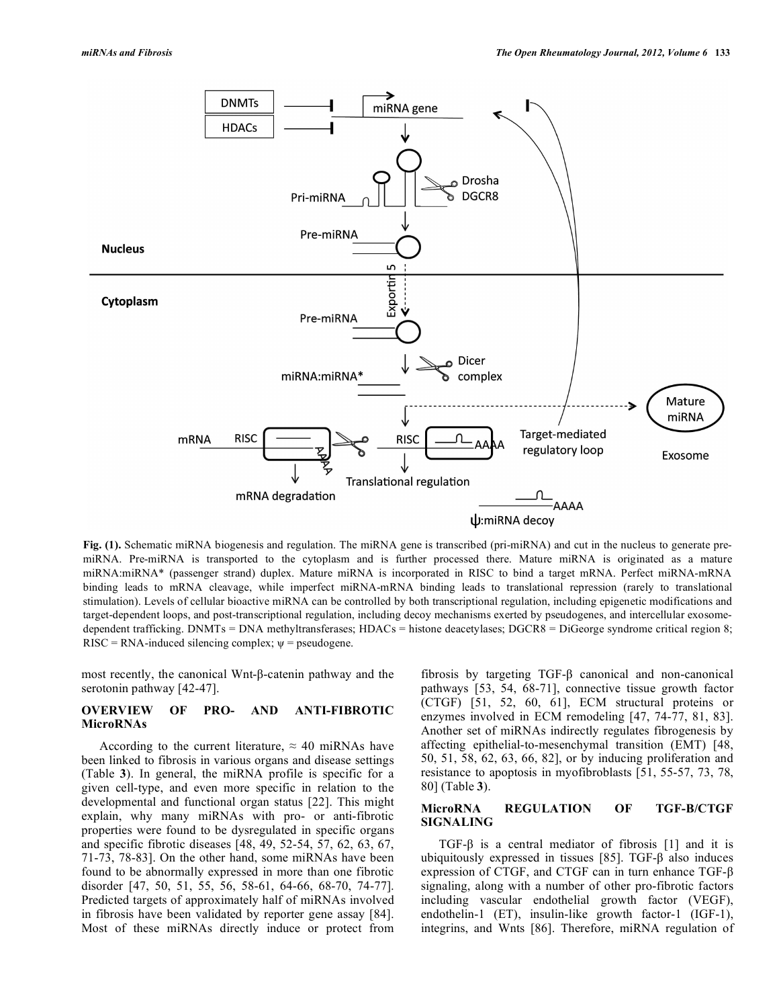

**Fig. (1).** Schematic miRNA biogenesis and regulation. The miRNA gene is transcribed (pri-miRNA) and cut in the nucleus to generate premiRNA. Pre-miRNA is transported to the cytoplasm and is further processed there. Mature miRNA is originated as a mature miRNA:miRNA\* (passenger strand) duplex. Mature miRNA is incorporated in RISC to bind a target mRNA. Perfect miRNA-mRNA binding leads to mRNA cleavage, while imperfect miRNA-mRNA binding leads to translational repression (rarely to translational stimulation). Levels of cellular bioactive miRNA can be controlled by both transcriptional regulation, including epigenetic modifications and target-dependent loops, and post-transcriptional regulation, including decoy mechanisms exerted by pseudogenes, and intercellular exosomedependent trafficking. DNMTs = DNA methyltransferases; HDACs = histone deacetylases; DGCR8 = DiGeorge syndrome critical region 8;  $RISC = RNA-induced silencing complex; \psi = pseudogene.$ 

most recently, the canonical Wnt- $\beta$ -catenin pathway and the serotonin pathway [42-47].

# **OVERVIEW OF PRO- AND ANTI-FIBROTIC MicroRNAs**

According to the current literature,  $\approx 40$  miRNAs have been linked to fibrosis in various organs and disease settings (Table **3**). In general, the miRNA profile is specific for a given cell-type, and even more specific in relation to the developmental and functional organ status [22]. This might explain, why many miRNAs with pro- or anti-fibrotic properties were found to be dysregulated in specific organs and specific fibrotic diseases [48, 49, 52-54, 57, 62, 63, 67, 71-73, 78-83]. On the other hand, some miRNAs have been found to be abnormally expressed in more than one fibrotic disorder [47, 50, 51, 55, 56, 58-61, 64-66, 68-70, 74-77]. Predicted targets of approximately half of miRNAs involved in fibrosis have been validated by reporter gene assay [84]. Most of these miRNAs directly induce or protect from

fibrosis by targeting  $TGF- $\beta$  canonical and non-canonical$ pathways [53, 54, 68-71], connective tissue growth factor (CTGF) [51, 52, 60, 61], ECM structural proteins or enzymes involved in ECM remodeling [47, 74-77, 81, 83]. Another set of miRNAs indirectly regulates fibrogenesis by affecting epithelial-to-mesenchymal transition (EMT) [48, 50, 51, 58, 62, 63, 66, 82], or by inducing proliferation and resistance to apoptosis in myofibroblasts [51, 55-57, 73, 78, 80] (Table **3**).

#### MicroRNA REGULATION OF *TGF-B/CTGF* **SIGNALING**

 $TGF-\beta$  is a central mediator of fibrosis [1] and it is ubiquitously expressed in tissues  $[85]$ . TGF- $\beta$  also induces expression of CTGF, and CTGF can in turn enhance TGF- $\beta$ signaling, along with a number of other pro-fibrotic factors including vascular endothelial growth factor (VEGF), endothelin-1 (ET), insulin-like growth factor-1 (IGF-1), integrins, and Wnts [86]. Therefore, miRNA regulation of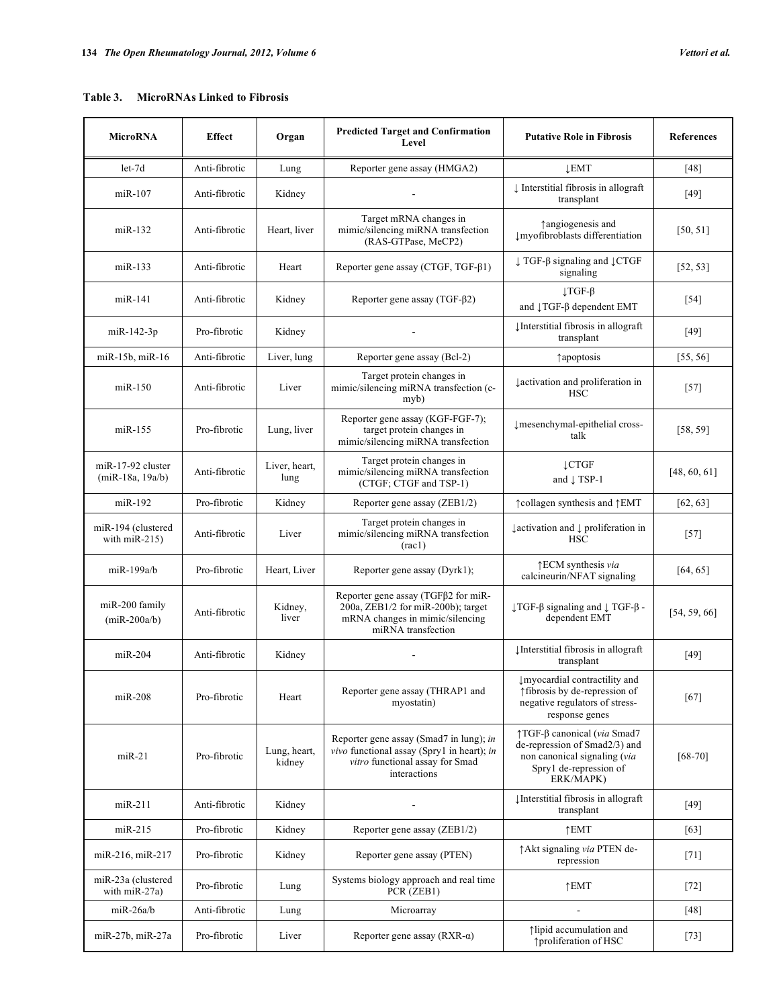# **Table 3. MicroRNAs Linked to Fibrosis**

| MicroRNA                                      | <b>Effect</b> | Organ                  | <b>Predicted Target and Confirmation</b><br>Level                                                                                        | <b>Putative Role in Fibrosis</b>                                                                                                    | <b>References</b> |
|-----------------------------------------------|---------------|------------------------|------------------------------------------------------------------------------------------------------------------------------------------|-------------------------------------------------------------------------------------------------------------------------------------|-------------------|
| $let-7d$                                      | Anti-fibrotic | Lung                   | Reporter gene assay (HMGA2)                                                                                                              | <b>LEMT</b>                                                                                                                         | [48]              |
| $miR-107$                                     | Anti-fibrotic | Kidney                 |                                                                                                                                          | ↓ Interstitial fibrosis in allograft<br>transplant                                                                                  | [49]              |
| $miR-132$                                     | Anti-fibrotic | Heart, liver           | Target mRNA changes in<br>mimic/silencing miRNA transfection<br>(RAS-GTPase, MeCP2)                                                      | ↑ angiogenesis and<br>Imyofibroblasts differentiation                                                                               | [50, 51]          |
| $miR-133$                                     | Anti-fibrotic | Heart                  | Reporter gene assay (CTGF, TGF-β1)                                                                                                       | $\downarrow$ TGF- $\beta$ signaling and $\downarrow$ CTGF<br>signaling                                                              | [52, 53]          |
| $m$ i $R-141$                                 | Anti-fibrotic | Kidney                 | Reporter gene assay $(TGF-\beta2)$                                                                                                       | $\downarrow$ TGF- $\beta$<br>and 1TGF- $\beta$ dependent EMT                                                                        | $[54]$            |
| miR-142-3p                                    | Pro-fibrotic  | Kidney                 |                                                                                                                                          | Unterstitial fibrosis in allograft<br>transplant                                                                                    | [49]              |
| miR-15b, miR-16                               | Anti-fibrotic | Liver, lung            | Reporter gene assay (Bcl-2)                                                                                                              | <i><u><b>Tapoptosis</b></u></i>                                                                                                     | [55, 56]          |
| $miR-150$                                     | Anti-fibrotic | Liver                  | Target protein changes in<br>mimic/silencing miRNA transfection (c-<br>myb)                                                              | lactivation and proliferation in<br><b>HSC</b>                                                                                      | $[57]$            |
| miR-155                                       | Pro-fibrotic  | Lung, liver            | Reporter gene assay (KGF-FGF-7);<br>target protein changes in<br>mimic/silencing miRNA transfection                                      | ↓mesenchymal-epithelial cross-<br>talk                                                                                              | [58, 59]          |
| miR-17-92 cluster<br>$(miR-18a, 19a/b)$       | Anti-fibrotic | Liver, heart,<br>lung  | Target protein changes in<br>mimic/silencing miRNA transfection<br>(CTGF; CTGF and TSP-1)                                                | <b>LCTGF</b><br>and $\downarrow$ TSP-1                                                                                              | [48, 60, 61]      |
| miR-192                                       | Pro-fibrotic  | Kidney                 | Reporter gene assay (ZEB1/2)                                                                                                             | ↑collagen synthesis and ↑EMT                                                                                                        | [62, 63]          |
| miR-194 (clustered<br>with $\text{miR-215}$ ) | Anti-fibrotic | Liver                  | Target protein changes in<br>mimic/silencing miRNA transfection<br>$rac{1}{2}$                                                           | $\downarrow$ activation and $\downarrow$ proliferation in<br><b>HSC</b>                                                             | $[57]$            |
| miR-199a/b                                    | Pro-fibrotic  | Heart, Liver           | Reporter gene assay (Dyrk1);                                                                                                             | ↑ECM synthesis via<br>calcineurin/NFAT signaling                                                                                    | [64, 65]          |
| miR-200 family<br>$(miR-200a/b)$              | Anti-fibrotic | Kidney,<br>liver       | Reporter gene assay (TGFβ2 for miR-<br>200a, ZEB1/2 for miR-200b); target<br>mRNA changes in mimic/silencing<br>miRNA transfection       | $\downarrow$ TGF- $\beta$ signaling and $\downarrow$ TGF- $\beta$ -<br>dependent EMT                                                | [54, 59, 66]      |
| $miR-204$                                     | Anti-fibrotic | Kidney                 |                                                                                                                                          | Unterstitial fibrosis in allograft<br>transplant                                                                                    | $[49]$            |
| $miR-208$                                     | Pro-fibrotic  | Heart                  | Reporter gene assay (THRAP1 and<br>myostatin)                                                                                            | ↓ myocardial contractility and<br>↑ fibrosis by de-repression of<br>negative regulators of stress-<br>response genes                | $[67]$            |
| $miR-21$                                      | Pro-fibrotic  | Lung, heart,<br>kidney | Reporter gene assay (Smad7 in lung); in<br>vivo functional assay (Spry1 in heart); in<br>vitro functional assay for Smad<br>interactions | ↑TGF-β canonical (via Smad7<br>de-repression of Smad2/3) and<br>non canonical signaling (via<br>Spry1 de-repression of<br>ERK/MAPK) | $[68 - 70]$       |
| $m$ iR-211                                    | Anti-fibrotic | Kidney                 |                                                                                                                                          | Unterstitial fibrosis in allograft<br>transplant                                                                                    | [49]              |
| $miR-215$                                     | Pro-fibrotic  | Kidney                 | Reporter gene assay (ZEB1/2)                                                                                                             | $\uparrow$ EMT                                                                                                                      | [63]              |
| miR-216, miR-217                              | Pro-fibrotic  | Kidney                 | Reporter gene assay (PTEN)                                                                                                               | ↑ Akt signaling via PTEN de-<br>repression                                                                                          | $[71]$            |
| miR-23a (clustered<br>with $miR-27a)$         | Pro-fibrotic  | Lung                   | Systems biology approach and real time<br>PCR (ZEB1)                                                                                     | $\uparrow$ EMT                                                                                                                      | $[72]$            |
| $miR-26a/b$                                   | Anti-fibrotic | Lung                   | Microarray                                                                                                                               | $\blacksquare$                                                                                                                      | [48]              |
| miR-27b, miR-27a                              | Pro-fibrotic  | Liver                  | Reporter gene assay (RXR- $\alpha$ )                                                                                                     | ↑lipid accumulation and<br>↑ proliferation of HSC                                                                                   | $[73]$            |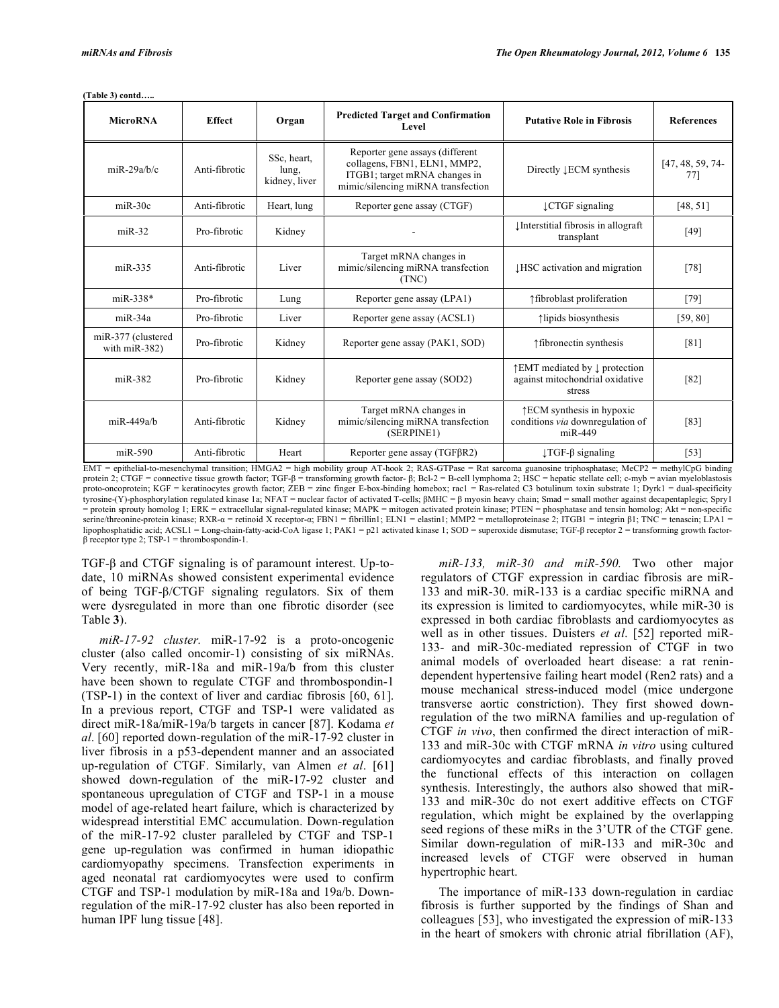**(Table 3) contd…..** 

| <b>MicroRNA</b>                        | <b>Effect</b> | Organ                                 | <b>Predicted Target and Confirmation</b><br>Level                                                                                      | <b>Putative Role in Fibrosis</b>                                                     | <b>References</b>         |
|----------------------------------------|---------------|---------------------------------------|----------------------------------------------------------------------------------------------------------------------------------------|--------------------------------------------------------------------------------------|---------------------------|
| $miR-29a/h/c$                          | Anti-fibrotic | SSc. heart.<br>lung,<br>kidney, liver | Reporter gene assays (different<br>collagens, FBN1, ELN1, MMP2,<br>ITGB1; target mRNA changes in<br>mimic/silencing miRNA transfection | Directly <b>LECM</b> synthesis                                                       | $[47, 48, 59, 74-$<br>77] |
| $miR-30c$                              | Anti-fibrotic | Heart, lung                           | Reporter gene assay (CTGF)                                                                                                             | ↓CTGF signaling                                                                      | [48, 51]                  |
| $miR-32$                               | Pro-fibrotic  | Kidney                                |                                                                                                                                        | Interstitial fibrosis in allograft<br>transplant                                     | [49]                      |
| $miR-335$                              | Anti-fibrotic | Liver                                 | Target mRNA changes in<br>mimic/silencing miRNA transfection<br>(TNC)                                                                  | <b>IHSC</b> activation and migration                                                 | $[78]$                    |
| $miR-338*$                             | Pro-fibrotic  | Lung                                  | Reporter gene assay (LPA1)                                                                                                             | ↑ fibroblast proliferation                                                           | [79]                      |
| $miR-34a$                              | Pro-fibrotic  | Liver                                 | Reporter gene assay (ACSL1)                                                                                                            | ↑lipids biosynthesis                                                                 | [59, 80]                  |
| miR-377 (clustered<br>with $miR-382$ ) | Pro-fibrotic  | Kidney                                | Reporter gene assay (PAK1, SOD)                                                                                                        | ↑ fibronectin synthesis                                                              | [81]                      |
| $miR-382$                              | Pro-fibrotic  | Kidney                                | Reporter gene assay (SOD2)                                                                                                             | ↑ EMT mediated by ↓ protection<br>against mitochondrial oxidative<br>stress          | $[82]$                    |
| $miR-449a/h$                           | Anti-fibrotic | Kidney                                | Target mRNA changes in<br>mimic/silencing miRNA transfection<br>(SERPINE1)                                                             | $\uparrow$ ECM synthesis in hypoxic<br>conditions via downregulation of<br>$miR-449$ | [83]                      |
| $miR-590$                              | Anti-fibrotic | Heart                                 | Reporter gene assay (TGFBR2)                                                                                                           | $\lfloor TGF - \beta \rfloor$ signaling                                              | $[53]$                    |

EMT = epithelial-to-mesenchymal transition; HMGA2 = high mobility group AT-hook 2; RAS-GTPase = Rat sarcoma guanosine triphosphatase; MeCP2 = methylCpG binding protein 2; CTGF = connective tissue growth factor; TGF-β = transforming growth factor- β; Bcl-2 = B-cell lymphoma 2; HSC = hepatic stellate cell; c-myb = avian myeloblastosis<br>proto-oncoprotein; KGF = keratinocytes growth tyrosine-(Y)-phosphorylation regulated kinase 1a; NFAT = nuclear factor of activated T-cells; MHC = myosin heavy chain; Smad = small mother against decapentaplegic; Spry1 = protein sprouty homolog 1; ERK = extracellular signal-regulated kinase; MAPK = mitogen activated protein kinase; PTEN = phosphatase and tensin homolog; Akt = non-specific serine/threonine-protein kinase; RXR- $\alpha$  = retinoid X receptor- $\alpha$ ; FBN1 = fibrillin1; ELN1 = elastin1; MMP2 = metalloproteinase 2; ITGB1 = integrin  $\beta$ 1; TNC = tenascin; LPA1 = lipophosphatidic acid; ACSL1 = Long-chain-fatty-acid-CoA ligase 1; PAK1 = p21 activated kinase 1; SOD = superoxide dismutase; TGF-ß receptor 2 = transforming growth factor- $\beta$  receptor type 2; TSP-1 = thrombospondin-1.

 $TGF-\beta$  and  $CTGF$  signaling is of paramount interest. Up-todate, 10 miRNAs showed consistent experimental evidence of being TGF- $\beta$ /CTGF signaling regulators. Six of them were dysregulated in more than one fibrotic disorder (see Table **3**).

 *miR-17-92 cluster.* miR-17-92 is a proto-oncogenic cluster (also called oncomir-1) consisting of six miRNAs. Very recently, miR-18a and miR-19a/b from this cluster have been shown to regulate CTGF and thrombospondin-1 (TSP-1) in the context of liver and cardiac fibrosis [60, 61]. In a previous report, CTGF and TSP-1 were validated as direct miR-18a/miR-19a/b targets in cancer [87]. Kodama *et al*. [60] reported down-regulation of the miR-17-92 cluster in liver fibrosis in a p53-dependent manner and an associated up-regulation of CTGF. Similarly, van Almen *et al*. [61] showed down-regulation of the miR-17-92 cluster and spontaneous upregulation of CTGF and TSP-1 in a mouse model of age-related heart failure, which is characterized by widespread interstitial EMC accumulation. Down-regulation of the miR-17-92 cluster paralleled by CTGF and TSP-1 gene up-regulation was confirmed in human idiopathic cardiomyopathy specimens. Transfection experiments in aged neonatal rat cardiomyocytes were used to confirm CTGF and TSP-1 modulation by miR-18a and 19a/b. Downregulation of the miR-17-92 cluster has also been reported in human IPF lung tissue [48].

 *miR-133, miR-30 and miR-590.* Two other major regulators of CTGF expression in cardiac fibrosis are miR-133 and miR-30. miR-133 is a cardiac specific miRNA and its expression is limited to cardiomyocytes, while miR-30 is expressed in both cardiac fibroblasts and cardiomyocytes as well as in other tissues. Duisters *et al*. [52] reported miR-133- and miR-30c-mediated repression of CTGF in two animal models of overloaded heart disease: a rat renindependent hypertensive failing heart model (Ren2 rats) and a mouse mechanical stress-induced model (mice undergone transverse aortic constriction). They first showed downregulation of the two miRNA families and up-regulation of CTGF *in vivo*, then confirmed the direct interaction of miR-133 and miR-30c with CTGF mRNA *in vitro* using cultured cardiomyocytes and cardiac fibroblasts, and finally proved the functional effects of this interaction on collagen synthesis. Interestingly, the authors also showed that miR-133 and miR-30c do not exert additive effects on CTGF regulation, which might be explained by the overlapping seed regions of these miRs in the 3'UTR of the CTGF gene. Similar down-regulation of miR-133 and miR-30c and increased levels of CTGF were observed in human hypertrophic heart.

 The importance of miR-133 down-regulation in cardiac fibrosis is further supported by the findings of Shan and colleagues [53], who investigated the expression of miR-133 in the heart of smokers with chronic atrial fibrillation (AF),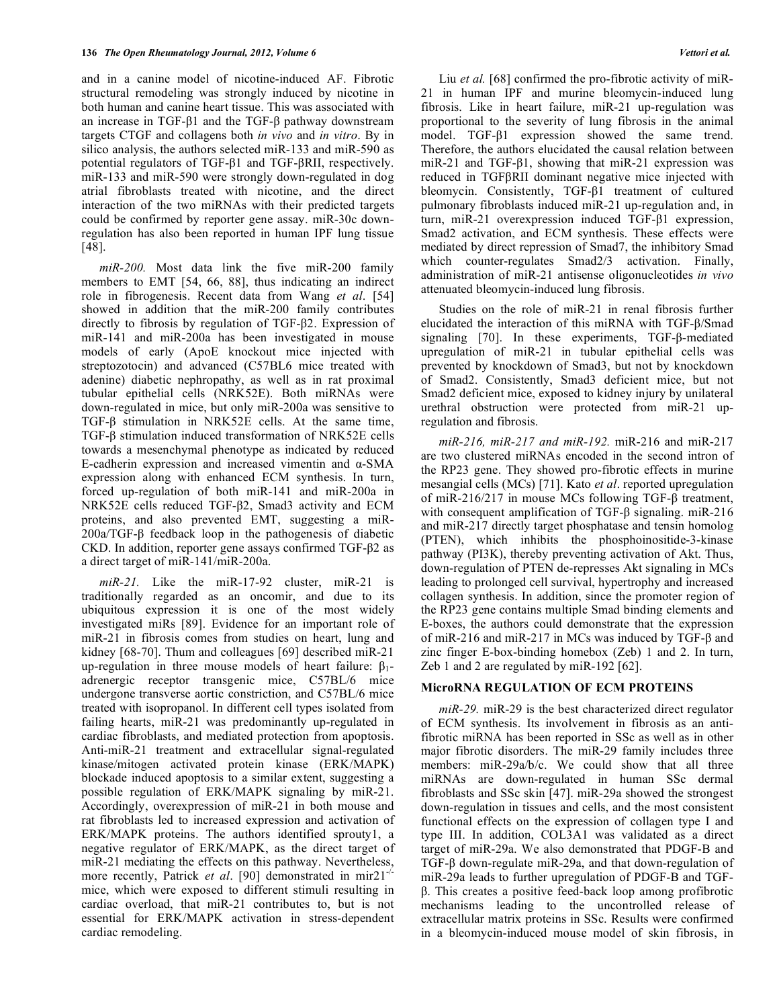and in a canine model of nicotine-induced AF. Fibrotic structural remodeling was strongly induced by nicotine in both human and canine heart tissue. This was associated with an increase in TGF- $\beta$ 1 and the TGF- $\beta$  pathway downstream targets CTGF and collagens both *in vivo* and *in vitro*. By in silico analysis, the authors selected miR-133 and miR-590 as potential regulators of  $TGF- $\beta$ 1 and TGF- $\beta$ RII, respectively.$ miR-133 and miR-590 were strongly down-regulated in dog atrial fibroblasts treated with nicotine, and the direct interaction of the two miRNAs with their predicted targets could be confirmed by reporter gene assay. miR-30c downregulation has also been reported in human IPF lung tissue [48].

 *miR-200.* Most data link the five miR-200 family members to EMT [54, 66, 88], thus indicating an indirect role in fibrogenesis. Recent data from Wang *et al*. [54] showed in addition that the miR-200 family contributes directly to fibrosis by regulation of  $TGF- $\beta$ 2$ . Expression of miR-141 and miR-200a has been investigated in mouse models of early (ApoE knockout mice injected with streptozotocin) and advanced (C57BL6 mice treated with adenine) diabetic nephropathy, as well as in rat proximal tubular epithelial cells (NRK52E). Both miRNAs were down-regulated in mice, but only miR-200a was sensitive to TGF- $\beta$  stimulation in NRK52E cells. At the same time,  $TGF- $\beta$  stimulation induced transformation of NRK52E cells$ towards a mesenchymal phenotype as indicated by reduced E-cadherin expression and increased vimentin and  $\alpha$ -SMA expression along with enhanced ECM synthesis. In turn, forced up-regulation of both miR-141 and miR-200a in NRK52E cells reduced TGF- $\beta$ 2, Smad3 activity and ECM proteins, and also prevented EMT, suggesting a miR- $200a/TGF - \beta$  feedback loop in the pathogenesis of diabetic  $CKD$ . In addition, reporter gene assays confirmed TGF- $\beta$ 2 as a direct target of miR-141/miR-200a.

 *miR-21.* Like the miR-17-92 cluster, miR-21 is traditionally regarded as an oncomir, and due to its ubiquitous expression it is one of the most widely investigated miRs [89]. Evidence for an important role of miR-21 in fibrosis comes from studies on heart, lung and kidney [68-70]. Thum and colleagues [69] described miR-21 up-regulation in three mouse models of heart failure:  $\beta_1$ adrenergic receptor transgenic mice, C57BL/6 mice undergone transverse aortic constriction, and C57BL/6 mice treated with isopropanol. In different cell types isolated from failing hearts, miR-21 was predominantly up-regulated in cardiac fibroblasts, and mediated protection from apoptosis. Anti-miR-21 treatment and extracellular signal-regulated kinase/mitogen activated protein kinase (ERK/MAPK) blockade induced apoptosis to a similar extent, suggesting a possible regulation of ERK/MAPK signaling by miR-21. Accordingly, overexpression of miR-21 in both mouse and rat fibroblasts led to increased expression and activation of ERK/MAPK proteins. The authors identified sprouty1, a negative regulator of ERK/MAPK, as the direct target of miR-21 mediating the effects on this pathway. Nevertheless, more recently, Patrick *et al.* [90] demonstrated in mir21<sup>-/-</sup> mice, which were exposed to different stimuli resulting in cardiac overload, that miR-21 contributes to, but is not essential for ERK/MAPK activation in stress-dependent cardiac remodeling.

Liu *et al.* [68] confirmed the pro-fibrotic activity of miR-21 in human IPF and murine bleomycin-induced lung fibrosis. Like in heart failure, miR-21 up-regulation was proportional to the severity of lung fibrosis in the animal model.  $TGF- $\beta$ 1 expression showed the same trend.$ Therefore, the authors elucidated the causal relation between miR-21 and TGF- $\beta$ 1, showing that miR-21 expression was reduced in TGFBRII dominant negative mice injected with bleomycin. Consistently,  $TGF- $\beta$ 1 treatment of cultured$ pulmonary fibroblasts induced miR-21 up-regulation and, in turn, miR-21 over expression induced  $TGF- $\beta$ 1 expression,$ Smad2 activation, and ECM synthesis. These effects were mediated by direct repression of Smad7, the inhibitory Smad which counter-regulates Smad2/3 activation. Finally, administration of miR-21 antisense oligonucleotides *in vivo* attenuated bleomycin-induced lung fibrosis.

 Studies on the role of miR-21 in renal fibrosis further elucidated the interaction of this miRNA with TGF- $\beta$ /Smad  $signaling$  [70]. In these experiments, TGF- $\beta$ -mediated upregulation of miR-21 in tubular epithelial cells was prevented by knockdown of Smad3, but not by knockdown of Smad2. Consistently, Smad3 deficient mice, but not Smad2 deficient mice, exposed to kidney injury by unilateral urethral obstruction were protected from miR-21 upregulation and fibrosis.

 *miR-216, miR-217 and miR-192.* miR-216 and miR-217 are two clustered miRNAs encoded in the second intron of the RP23 gene. They showed pro-fibrotic effects in murine mesangial cells (MCs) [71]. Kato *et al*. reported upregulation of miR-216/217 in mouse MCs following TGF- $\beta$  treatment, with consequent amplification of TGF- $\beta$  signaling. miR-216 and miR-217 directly target phosphatase and tensin homolog (PTEN), which inhibits the phosphoinositide-3-kinase pathway (PI3K), thereby preventing activation of Akt. Thus, down-regulation of PTEN de-represses Akt signaling in MCs leading to prolonged cell survival, hypertrophy and increased collagen synthesis. In addition, since the promoter region of the RP23 gene contains multiple Smad binding elements and E-boxes, the authors could demonstrate that the expression of miR-216 and miR-217 in MCs was induced by TGF- $\beta$  and zinc finger E-box-binding homebox (Zeb) 1 and 2. In turn, Zeb 1 and 2 are regulated by miR-192 [62].

# **MicroRNA REGULATION OF ECM PROTEINS**

 *miR-29.* miR-29 is the best characterized direct regulator of ECM synthesis. Its involvement in fibrosis as an antifibrotic miRNA has been reported in SSc as well as in other major fibrotic disorders. The miR-29 family includes three members: miR-29a/b/c. We could show that all three miRNAs are down-regulated in human SSc dermal fibroblasts and SSc skin [47]. miR-29a showed the strongest down-regulation in tissues and cells, and the most consistent functional effects on the expression of collagen type I and type III. In addition, COL3A1 was validated as a direct target of miR-29a. We also demonstrated that PDGF-B and TGF- $\beta$  down-regulate miR-29a, and that down-regulation of miR-29a leads to further upregulation of PDGF-B and TGF- -. This creates a positive feed-back loop among profibrotic mechanisms leading to the uncontrolled release of extracellular matrix proteins in SSc. Results were confirmed in a bleomycin-induced mouse model of skin fibrosis, in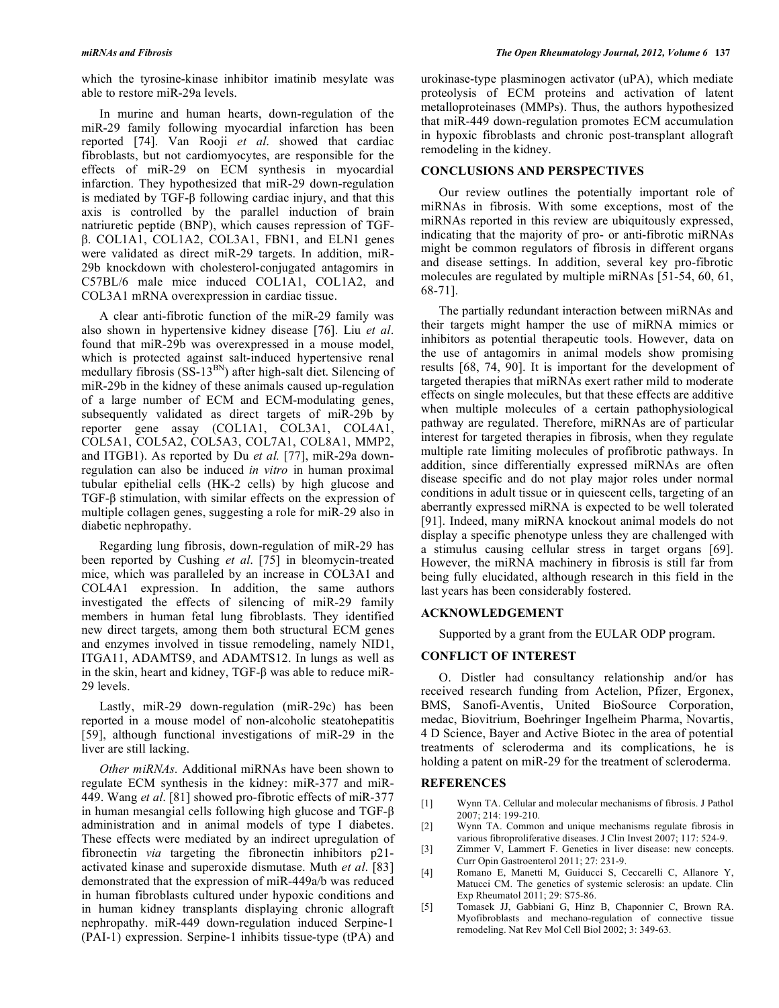which the tyrosine-kinase inhibitor imatinib mesylate was able to restore miR-29a levels.

 In murine and human hearts, down-regulation of the miR-29 family following myocardial infarction has been reported [74]. Van Rooji *et al*. showed that cardiac fibroblasts, but not cardiomyocytes, are responsible for the effects of miR-29 on ECM synthesis in myocardial infarction. They hypothesized that miR-29 down-regulation is mediated by TGF- $\beta$  following cardiac injury, and that this axis is controlled by the parallel induction of brain natriuretic peptide (BNP), which causes repression of TGF- . COL1A1, COL1A2, COL3A1, FBN1, and ELN1 genes were validated as direct miR-29 targets. In addition, miR-29b knockdown with cholesterol-conjugated antagomirs in C57BL/6 male mice induced COL1A1, COL1A2, and COL3A1 mRNA overexpression in cardiac tissue.

 A clear anti-fibrotic function of the miR-29 family was also shown in hypertensive kidney disease [76]. Liu *et al*. found that miR-29b was overexpressed in a mouse model, which is protected against salt-induced hypertensive renal medullary fibrosis (SS-13<sup>BN</sup>) after high-salt diet. Silencing of miR-29b in the kidney of these animals caused up-regulation of a large number of ECM and ECM-modulating genes, subsequently validated as direct targets of miR-29b by reporter gene assay (COL1A1, COL3A1, COL4A1, COL5A1, COL5A2, COL5A3, COL7A1, COL8A1, MMP2, and ITGB1). As reported by Du *et al.* [77], miR-29a downregulation can also be induced *in vitro* in human proximal tubular epithelial cells (HK-2 cells) by high glucose and  $TGF- $\beta$  stimulation, with similar effects on the expression of$ multiple collagen genes, suggesting a role for miR-29 also in diabetic nephropathy.

 Regarding lung fibrosis, down-regulation of miR-29 has been reported by Cushing *et al*. [75] in bleomycin-treated mice, which was paralleled by an increase in COL3A1 and COL4A1 expression. In addition, the same authors investigated the effects of silencing of miR-29 family members in human fetal lung fibroblasts. They identified new direct targets, among them both structural ECM genes and enzymes involved in tissue remodeling, namely NID1, ITGA11, ADAMTS9, and ADAMTS12. In lungs as well as in the skin, heart and kidney, TGF- $\beta$  was able to reduce miR-29 levels.

 Lastly, miR-29 down-regulation (miR-29c) has been reported in a mouse model of non-alcoholic steatohepatitis [59], although functional investigations of miR-29 in the liver are still lacking.

 *Other miRNAs.* Additional miRNAs have been shown to regulate ECM synthesis in the kidney: miR-377 and miR-449. Wang *et al*. [81] showed pro-fibrotic effects of miR-377 in human mesangial cells following high glucose and TGF- $\beta$ administration and in animal models of type I diabetes. These effects were mediated by an indirect upregulation of fibronectin *via* targeting the fibronectin inhibitors p21 activated kinase and superoxide dismutase. Muth *et al*. [83] demonstrated that the expression of miR-449a/b was reduced in human fibroblasts cultured under hypoxic conditions and in human kidney transplants displaying chronic allograft nephropathy. miR-449 down-regulation induced Serpine-1 (PAI-1) expression. Serpine-1 inhibits tissue-type (tPA) and

urokinase-type plasminogen activator (uPA), which mediate proteolysis of ECM proteins and activation of latent metalloproteinases (MMPs). Thus, the authors hypothesized that miR-449 down-regulation promotes ECM accumulation in hypoxic fibroblasts and chronic post-transplant allograft remodeling in the kidney.

### **CONCLUSIONS AND PERSPECTIVES**

 Our review outlines the potentially important role of miRNAs in fibrosis. With some exceptions, most of the miRNAs reported in this review are ubiquitously expressed, indicating that the majority of pro- or anti-fibrotic miRNAs might be common regulators of fibrosis in different organs and disease settings. In addition, several key pro-fibrotic molecules are regulated by multiple miRNAs [51-54, 60, 61, 68-71].

 The partially redundant interaction between miRNAs and their targets might hamper the use of miRNA mimics or inhibitors as potential therapeutic tools. However, data on the use of antagomirs in animal models show promising results [68, 74, 90]. It is important for the development of targeted therapies that miRNAs exert rather mild to moderate effects on single molecules, but that these effects are additive when multiple molecules of a certain pathophysiological pathway are regulated. Therefore, miRNAs are of particular interest for targeted therapies in fibrosis, when they regulate multiple rate limiting molecules of profibrotic pathways. In addition, since differentially expressed miRNAs are often disease specific and do not play major roles under normal conditions in adult tissue or in quiescent cells, targeting of an aberrantly expressed miRNA is expected to be well tolerated [91]. Indeed, many miRNA knockout animal models do not display a specific phenotype unless they are challenged with a stimulus causing cellular stress in target organs [69]. However, the miRNA machinery in fibrosis is still far from being fully elucidated, although research in this field in the last years has been considerably fostered.

# **ACKNOWLEDGEMENT**

Supported by a grant from the EULAR ODP program.

# **CONFLICT OF INTEREST**

 O. Distler had consultancy relationship and/or has received research funding from Actelion, Pfizer, Ergonex, BMS, Sanofi-Aventis, United BioSource Corporation, medac, Biovitrium, Boehringer Ingelheim Pharma, Novartis, 4 D Science, Bayer and Active Biotec in the area of potential treatments of scleroderma and its complications, he is holding a patent on miR-29 for the treatment of scleroderma.

#### **REFERENCES**

- [1] Wynn TA. Cellular and molecular mechanisms of fibrosis. J Pathol 2007; 214: 199-210.
- [2] Wynn TA. Common and unique mechanisms regulate fibrosis in various fibroproliferative diseases. J Clin Invest 2007; 117: 524-9.
- [3] Zimmer V, Lammert F. Genetics in liver disease: new concepts. Curr Opin Gastroenterol 2011; 27: 231-9.
- [4] Romano E, Manetti M, Guiducci S, Ceccarelli C, Allanore Y, Matucci CM. The genetics of systemic sclerosis: an update. Clin Exp Rheumatol 2011; 29: S75-86.
- [5] Tomasek JJ, Gabbiani G, Hinz B, Chaponnier C, Brown RA. Myofibroblasts and mechano-regulation of connective tissue remodeling. Nat Rev Mol Cell Biol 2002; 3: 349-63.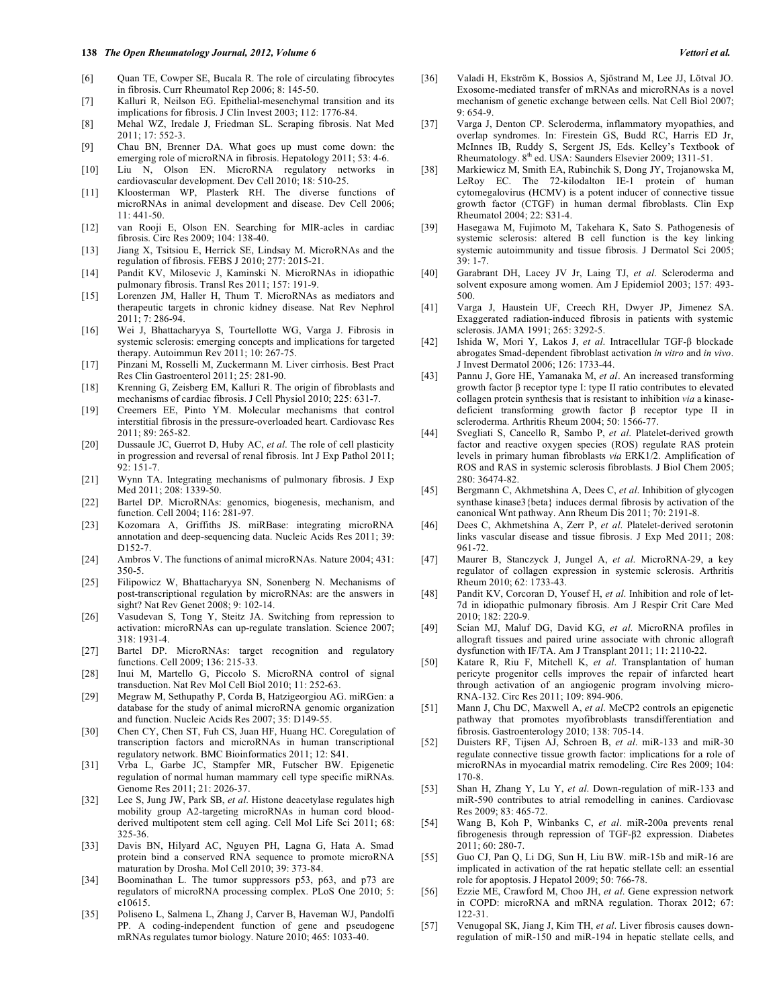#### **138** *The Open Rheumatology Journal, 2012, Volume 6 Vettori et al.*

- [6] Quan TE, Cowper SE, Bucala R. The role of circulating fibrocytes in fibrosis. Curr Rheumatol Rep 2006; 8: 145-50.
- [7] Kalluri R, Neilson EG. Epithelial-mesenchymal transition and its implications for fibrosis. J Clin Invest 2003; 112: 1776-84.
- [8] Mehal WZ, Iredale J, Friedman SL. Scraping fibrosis. Nat Med 2011; 17: 552-3.
- [9] Chau BN, Brenner DA. What goes up must come down: the emerging role of microRNA in fibrosis. Hepatology 2011; 53: 4-6.
- [10] Liu N, Olson EN. MicroRNA regulatory networks in cardiovascular development. Dev Cell 2010; 18: 510-25.
- [11] Kloosterman WP, Plasterk RH. The diverse functions of microRNAs in animal development and disease. Dev Cell 2006; 11: 441-50.
- [12] van Rooji E, Olson EN. Searching for MIR-acles in cardiac fibrosis. Circ Res 2009; 104: 138-40.
- [13] Jiang X, Tsitsiou E, Herrick SE, Lindsay M. MicroRNAs and the regulation of fibrosis. FEBS J 2010; 277: 2015-21.
- [14] Pandit KV, Milosevic J, Kaminski N. MicroRNAs in idiopathic pulmonary fibrosis. Transl Res 2011; 157: 191-9.
- [15] Lorenzen JM, Haller H, Thum T. MicroRNAs as mediators and therapeutic targets in chronic kidney disease. Nat Rev Nephrol 2011; 7: 286-94.
- [16] Wei J, Bhattacharyya S, Tourtellotte WG, Varga J. Fibrosis in systemic sclerosis: emerging concepts and implications for targeted therapy. Autoimmun Rev 2011; 10: 267-75.
- [17] Pinzani M, Rosselli M, Zuckermann M. Liver cirrhosis. Best Pract Res Clin Gastroenterol 2011; 25: 281-90.
- [18] Krenning G, Zeisberg EM, Kalluri R. The origin of fibroblasts and mechanisms of cardiac fibrosis. J Cell Physiol 2010; 225: 631-7.
- [19] Creemers EE, Pinto YM. Molecular mechanisms that control interstitial fibrosis in the pressure-overloaded heart. Cardiovasc Res 2011; 89: 265-82.
- [20] Dussaule JC, Guerrot D, Huby AC, *et al*. The role of cell plasticity in progression and reversal of renal fibrosis. Int J Exp Pathol 2011; 92: 151-7.
- [21] Wynn TA. Integrating mechanisms of pulmonary fibrosis. J Exp Med 2011; 208: 1339-50.
- [22] Bartel DP. MicroRNAs: genomics, biogenesis, mechanism, and function. Cell 2004; 116: 281-97.
- [23] Kozomara A, Griffiths JS. miRBase: integrating microRNA annotation and deep-sequencing data. Nucleic Acids Res 2011; 39: D152-7.
- [24] Ambros V. The functions of animal microRNAs. Nature 2004; 431: 350-5.
- [25] Filipowicz W, Bhattacharyya SN, Sonenberg N. Mechanisms of post-transcriptional regulation by microRNAs: are the answers in sight? Nat Rev Genet 2008; 9: 102-14.
- [26] Vasudevan S, Tong Y, Steitz JA. Switching from repression to activation: microRNAs can up-regulate translation. Science 2007; 318: 1931-4.
- [27] Bartel DP. MicroRNAs: target recognition and regulatory functions. Cell 2009; 136: 215-33.
- [28] Inui M, Martello G, Piccolo S. MicroRNA control of signal transduction. Nat Rev Mol Cell Biol 2010; 11: 252-63.
- [29] Megraw M, Sethupathy P, Corda B, Hatzigeorgiou AG. miRGen: a database for the study of animal microRNA genomic organization and function. Nucleic Acids Res 2007; 35: D149-55.
- [30] Chen CY, Chen ST, Fuh CS, Juan HF, Huang HC. Coregulation of transcription factors and microRNAs in human transcriptional regulatory network. BMC Bioinformatics 2011; 12: S41.
- [31] Vrba L, Garbe JC, Stampfer MR, Futscher BW. Epigenetic regulation of normal human mammary cell type specific miRNAs. Genome Res 2011; 21: 2026-37.
- [32] Lee S, Jung JW, Park SB, *et al*. Histone deacetylase regulates high mobility group A2-targeting microRNAs in human cord bloodderived multipotent stem cell aging. Cell Mol Life Sci 2011; 68: 325-36.
- [33] Davis BN, Hilyard AC, Nguyen PH, Lagna G, Hata A. Smad protein bind a conserved RNA sequence to promote microRNA maturation by Drosha. Mol Cell 2010; 39: 373-84.
- [34] Boominathan L. The tumor suppressors p53, p63, and p73 are regulators of microRNA processing complex. PLoS One 2010; 5: e10615.
- [35] Poliseno L, Salmena L, Zhang J, Carver B, Haveman WJ, Pandolfi PP. A coding-independent function of gene and pseudogene mRNAs regulates tumor biology. Nature 2010; 465: 1033-40.
- [36] Valadi H, Ekström K, Bossios A, Sjöstrand M, Lee JJ, Lötval JO. Exosome-mediated transfer of mRNAs and microRNAs is a novel mechanism of genetic exchange between cells. Nat Cell Biol 2007; 9: 654-9.
- [37] Varga J, Denton CP. Scleroderma, inflammatory myopathies, and overlap syndromes. In: Firestein GS, Budd RC, Harris ED Jr, McInnes IB, Ruddy S, Sergent JS, Eds. Kelley's Textbook of Rheumatology. 8<sup>th</sup> ed. USA: Saunders Elsevier 2009; 1311-51.
- [38] Markiewicz M, Smith EA, Rubinchik S, Dong JY, Trojanowska M, LeRoy EC. The 72-kilodalton IE-1 protein of human cytomegalovirus (HCMV) is a potent inducer of connective tissue growth factor (CTGF) in human dermal fibroblasts. Clin Exp Rheumatol 2004; 22: S31-4.
- [39] Hasegawa M, Fujimoto M, Takehara K, Sato S. Pathogenesis of systemic sclerosis: altered B cell function is the key linking systemic autoimmunity and tissue fibrosis. J Dermatol Sci 2005; 39: 1-7.
- [40] Garabrant DH, Lacey JV Jr, Laing TJ, *et al*. Scleroderma and solvent exposure among women. Am J Epidemiol 2003; 157: 493- 500.
- [41] Varga J, Haustein UF, Creech RH, Dwyer JP, Jimenez SA. Exaggerated radiation-induced fibrosis in patients with systemic sclerosis. JAMA 1991; 265: 3292-5.
- [42] Ishida W, Mori Y, Lakos J, et al. Intracellular TGF- $\beta$  blockade abrogates Smad-dependent fibroblast activation *in vitro* and *in vivo*. J Invest Dermatol 2006; 126: 1733-44.
- [43] Pannu J, Gore HE, Yamanaka M, *et al*. An increased transforming growth factor  $\beta$  receptor type I: type II ratio contributes to elevated collagen protein synthesis that is resistant to inhibition *via* a kinasedeficient transforming growth factor  $\beta$  receptor type II in scleroderma. Arthritis Rheum 2004; 50: 1566-77.
- [44] Svegliati S, Cancello R, Sambo P, *et al*. Platelet-derived growth factor and reactive oxygen species (ROS) regulate RAS protein levels in primary human fibroblasts *via* ERK1/2. Amplification of ROS and RAS in systemic sclerosis fibroblasts. J Biol Chem 2005; 280: 36474-82.
- [45] Bergmann C, Akhmetshina A, Dees C, *et al*. Inhibition of glycogen synthase kinase3{beta} induces dermal fibrosis by activation of the canonical Wnt pathway. Ann Rheum Dis 2011; 70: 2191-8.
- [46] Dees C, Akhmetshina A, Zerr P, *et al*. Platelet-derived serotonin links vascular disease and tissue fibrosis. J Exp Med 2011; 208: 961-72.
- [47] Maurer B, Stanczyck J, Jungel A, *et al*. MicroRNA-29, a key regulator of collagen expression in systemic sclerosis. Arthritis Rheum 2010; 62: 1733-43.
- [48] Pandit KV, Corcoran D, Yousef H, *et al*. Inhibition and role of let-7d in idiopathic pulmonary fibrosis. Am J Respir Crit Care Med 2010; 182: 220-9.
- [49] Scian MJ, Maluf DG, David KG, *et al*. MicroRNA profiles in allograft tissues and paired urine associate with chronic allograft dysfunction with IF/TA. Am J Transplant 2011; 11: 2110-22.
- [50] Katare R, Riu F, Mitchell K, *et al*. Transplantation of human pericyte progenitor cells improves the repair of infarcted heart through activation of an angiogenic program involving micro-RNA-132. Circ Res 2011; 109: 894-906.
- [51] Mann J, Chu DC, Maxwell A, *et al*. MeCP2 controls an epigenetic pathway that promotes myofibroblasts transdifferentiation and fibrosis. Gastroenterology 2010; 138: 705-14.
- [52] Duisters RF, Tijsen AJ, Schroen B, *et al*. miR-133 and miR-30 regulate connective tissue growth factor: implications for a role of microRNAs in myocardial matrix remodeling. Circ Res 2009; 104: 170-8.
- [53] Shan H, Zhang Y, Lu Y, *et al*. Down-regulation of miR-133 and miR-590 contributes to atrial remodelling in canines. Cardiovasc Res 2009; 83: 465-72.
- [54] Wang B, Koh P, Winbanks C, *et al*. miR-200a prevents renal fibrogenesis through repression of TGF-2 expression. Diabetes 2011; 60: 280-7.
- [55] Guo CJ, Pan Q, Li DG, Sun H, Liu BW. miR-15b and miR-16 are implicated in activation of the rat hepatic stellate cell: an essential role for apoptosis. J Hepatol 2009; 50: 766-78.
- [56] Ezzie ME, Crawford M, Choo JH, *et al*. Gene expression network in COPD: microRNA and mRNA regulation. Thorax 2012; 67: 122-31.
- [57] Venugopal SK, Jiang J, Kim TH, *et al*. Liver fibrosis causes downregulation of miR-150 and miR-194 in hepatic stellate cells, and